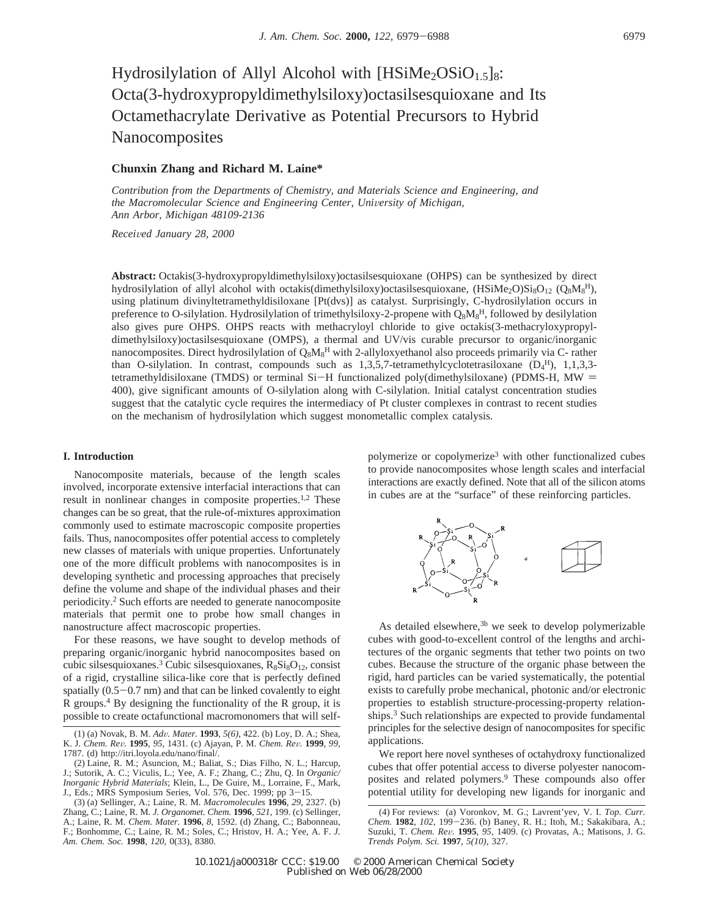# Hydrosilylation of Allyl Alcohol with  $[HSiMe<sub>2</sub>OSiO<sub>1.5</sub>]_8$ : Octa(3-hydroxypropyldimethylsiloxy)octasilsesquioxane and Its Octamethacrylate Derivative as Potential Precursors to Hybrid Nanocomposites

# **Chunxin Zhang and Richard M. Laine\***

*Contribution from the Departments of Chemistry, and Materials Science and Engineering, and the Macromolecular Science and Engineering Center, Uni*V*ersity of Michigan, Ann Arbor, Michigan 48109-2136*

*Recei*V*ed January 28, 2000*

**Abstract:** Octakis(3-hydroxypropyldimethylsiloxy)octasilsesquioxane (OHPS) can be synthesized by direct hydrosilylation of allyl alcohol with octakis(dimethylsiloxy)octasilsesquioxane,  $(HSime_2O)Si_8O_{12}$  ( $Q_8M_8^H$ ), using platinum divinyltetramethyldisiloxane [Pt(dvs)] as catalyst. Surprisingly, C-hydrosilylation occurs in preference to O-silylation. Hydrosilylation of trimethylsiloxy-2-propene with Q<sub>8</sub>M<sub>8</sub><sup>H</sup>, followed by desilylation also gives pure OHPS. OHPS reacts with methacryloyl chloride to give octakis(3-methacryloxypropyldimethylsiloxy)octasilsesquioxane (OMPS), a thermal and UV/vis curable precursor to organic/inorganic nanocomposites. Direct hydrosilylation of  $\rm Q_8M_8^H$  with 2-allyloxyethanol also proceeds primarily via C- rather than O-silylation. In contrast, compounds such as  $1,3,5,7$ -tetramethylcyclotetrasiloxane  $(D_4^H)$ ,  $1,1,3,3$ tetramethyldisiloxane (TMDS) or terminal Si-H functionalized poly(dimethylsiloxane) (PDMS-H, MW = 400), give significant amounts of O-silylation along with C-silylation. Initial catalyst concentration studies suggest that the catalytic cycle requires the intermediacy of Pt cluster complexes in contrast to recent studies on the mechanism of hydrosilylation which suggest monometallic complex catalysis.

# **I. Introduction**

Nanocomposite materials, because of the length scales involved, incorporate extensive interfacial interactions that can result in nonlinear changes in composite properties.<sup>1,2</sup> These changes can be so great, that the rule-of-mixtures approximation commonly used to estimate macroscopic composite properties fails. Thus, nanocomposites offer potential access to completely new classes of materials with unique properties. Unfortunately one of the more difficult problems with nanocomposites is in developing synthetic and processing approaches that precisely define the volume and shape of the individual phases and their periodicity.2 Such efforts are needed to generate nanocomposite materials that permit one to probe how small changes in nanostructure affect macroscopic properties.

For these reasons, we have sought to develop methods of preparing organic/inorganic hybrid nanocomposites based on cubic silsesquioxanes.<sup>3</sup> Cubic silsesquioxanes,  $R_8Si_8O_{12}$ , consist of a rigid, crystalline silica-like core that is perfectly defined spatially  $(0.5-0.7 \text{ nm})$  and that can be linked covalently to eight R groups.4 By designing the functionality of the R group, it is possible to create octafunctional macromonomers that will selfpolymerize or copolymerize3 with other functionalized cubes to provide nanocomposites whose length scales and interfacial interactions are exactly defined. Note that all of the silicon atoms in cubes are at the "surface" of these reinforcing particles.



As detailed elsewhere, $3<sup>b</sup>$  we seek to develop polymerizable cubes with good-to-excellent control of the lengths and architectures of the organic segments that tether two points on two cubes. Because the structure of the organic phase between the rigid, hard particles can be varied systematically, the potential exists to carefully probe mechanical, photonic and/or electronic properties to establish structure-processing-property relationships.<sup>3</sup> Such relationships are expected to provide fundamental principles for the selective design of nanocomposites for specific applications.

We report here novel syntheses of octahydroxy functionalized cubes that offer potential access to diverse polyester nanocomposites and related polymers.9 These compounds also offer potential utility for developing new ligands for inorganic and

<sup>(1) (</sup>a) Novak, B. M. *Ad*V*. Mater.* **<sup>1993</sup>**, *5(6)*, 422. (b) Loy, D. A.; Shea, K. J. *Chem. Re*V*.* **<sup>1995</sup>**, *<sup>95</sup>*, 1431. (c) Ajayan, P. M. *Chem. Re*V*.* **<sup>1999</sup>**, *<sup>99</sup>*, 1787. (d) http://itri.loyola.edu/nano/final/.

<sup>(2)</sup> Laine, R. M.; Asuncion, M.; Baliat, S.; Dias Filho, N. L.; Harcup, J.; Sutorik, A. C.; Viculis, L.; Yee, A. F.; Zhang, C.; Zhu, Q. In *Organic/ Inorganic Hybrid Materials*; Klein, L., De Guire, M., Lorraine, F., Mark, J., Eds.; MRS Symposium Series, Vol. 576, Dec. 1999; pp  $3-15$ .<br>(3) (a) Sellinger, A : Laine, R. M. *Macromolecules* 1996, 29, 23

<sup>(3) (</sup>a) Sellinger, A.; Laine, R. M. *Macromolecules* **1996**, *29*, 2327. (b) Zhang, C.; Laine, R. M. *J. Organomet. Chem.* **1996**, *521*, 199. (c) Sellinger, A.; Laine, R. M. *Chem. Mater.* **1996**, *8*, 1592. (d) Zhang, C.; Babonneau, F.; Bonhomme, C.; Laine, R. M.; Soles, C.; Hristov, H. A.; Yee, A. F. *J. Am. Chem. Soc.* **1998**, *120*, 0(33), 8380.

<sup>(4)</sup> For reviews: (a) Voronkov, M. G.; Lavrent'yev, V. I. *Top. Curr. Chem.* **<sup>1982</sup>**, *102,* <sup>199</sup>-236. (b) Baney, R. H.; Itoh, M.; Sakakibara, A.; Suzuki, T. *Chem. Re*V*.* **<sup>1995</sup>**, *<sup>95</sup>*, 1409. (c) Provatas, A.; Matisons, J. G. *Trends Polym. Sci.* **1997**, *5(10)*, 327.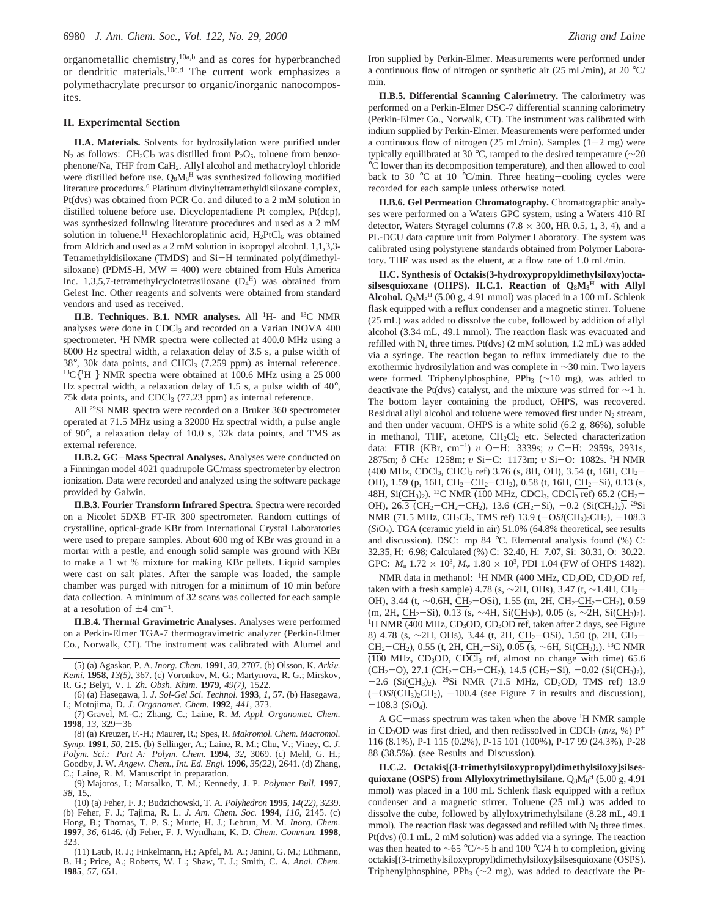organometallic chemistry,<sup>10a,b</sup> and as cores for hyperbranched or dendritic materials.10c,d The current work emphasizes a polymethacrylate precursor to organic/inorganic nanocomposites.

#### **II. Experimental Section**

**II.A. Materials.** Solvents for hydrosilylation were purified under  $N_2$  as follows:  $CH_2Cl_2$  was distilled from P<sub>2</sub>O<sub>5</sub>, toluene from benzophenone/Na, THF from CaH2. Allyl alcohol and methacryloyl chloride were distilled before use.  $Q_8M_8^H$  was synthesized following modified literature procedures.6 Platinum divinyltetramethyldisiloxane complex, Pt(dvs) was obtained from PCR Co. and diluted to a 2 mM solution in distilled toluene before use. Dicyclopentadiene Pt complex, Pt(dcp), was synthesized following literature procedures and used as a 2 mM solution in toluene.<sup>11</sup> Hexachloroplatinic acid,  $H_2PtCl_6$  was obtained from Aldrich and used as a 2 mM solution in isopropyl alcohol. 1,1,3,3- Tetramethyldisiloxane (TMDS) and Si-H terminated poly(dimethylsiloxane) (PDMS-H, MW  $=$  400) were obtained from Hüls America Inc. 1,3,5,7-tetramethylcyclotetrasiloxane  $(D_4^H)$  was obtained from Gelest Inc. Other reagents and solvents were obtained from standard vendors and used as received.

**II.B. Techniques. B.1. NMR analyses.** All 1H- and 13C NMR analyses were done in CDCl<sub>3</sub> and recorded on a Varian INOVA 400 spectrometer. <sup>1</sup>H NMR spectra were collected at 400.0 MHz using a 6000 Hz spectral width, a relaxation delay of 3.5 s, a pulse width of 38°, 30k data points, and CHCl3 (7.259 ppm) as internal reference.  $^{13}C$ <sup>1</sup>H } NMR spectra were obtained at 100.6 MHz using a 25 000 Hz spectral width, a relaxation delay of 1.5 s, a pulse width of 40°, 75k data points, and CDCl3 (77.23 ppm) as internal reference.

All 29Si NMR spectra were recorded on a Bruker 360 spectrometer operated at 71.5 MHz using a 32000 Hz spectral width, a pulse angle of 90°, a relaxation delay of 10.0 s, 32k data points, and TMS as external reference.

**II.B.2. GC**-**Mass Spectral Analyses.** Analyses were conducted on a Finningan model 4021 quadrupole GC/mass spectrometer by electron ionization. Data were recorded and analyzed using the software package provided by Galwin.

**II.B.3. Fourier Transform Infrared Spectra.** Spectra were recorded on a Nicolet 5DXB FT-IR 300 spectrometer. Random cuttings of crystalline, optical-grade KBr from International Crystal Laboratories were used to prepare samples. About 600 mg of KBr was ground in a mortar with a pestle, and enough solid sample was ground with KBr to make a 1 wt % mixture for making KBr pellets. Liquid samples were cast on salt plates. After the sample was loaded, the sample chamber was purged with nitrogen for a minimum of 10 min before data collection. A minimum of 32 scans was collected for each sample at a resolution of  $\pm 4$  cm<sup>-1</sup>.

**II.B.4. Thermal Gravimetric Analyses.** Analyses were performed on a Perkin-Elmer TGA-7 thermogravimetric analyzer (Perkin-Elmer Co., Norwalk, CT). The instrument was calibrated with Alumel and

(6) (a) Hasegawa, I. *J. Sol-Gel Sci. Technol.* **1993**, *1*, 57. (b) Hasegawa, I.; Motojima, D. *J. Organomet. Chem.* **1992**, *441*, 373.

(7) Gravel, M.-C.; Zhang, C.; Laine, R. *M. Appl. Organomet. Chem.* **<sup>1998</sup>**, *<sup>13</sup>*, 329-<sup>36</sup>

(8) (a) Kreuzer, F.-H.; Maurer, R.; Spes, R. *Makromol. Chem. Macromol. Symp.* **1991**, *50*, 215. (b) Sellinger, A.; Laine, R. M.; Chu, V.; Viney, C. *J. Polym. Sci.: Part A: Polym*. *Chem.* **1994**, *32*, 3069. (c) Mehl, G. H.; Goodby, J. W. *Angew. Chem., Int. Ed. Engl.* **1996**, *35(22)*, 2641. (d) Zhang, C.; Laine, R. M. Manuscript in preparation.

(9) Majoros, I.; Marsalko, T. M.; Kennedy, J. P. *Polymer Bull.* **1997**, *38*, 15,.

(10) (a) Feher, F. J.; Budzichowski, T. A. *Polyhedron* **1995**, *14(22)*, 3239. (b) Feher, F. J.; Tajima, R. L. *J. Am. Chem. Soc.* **1994**, *116*, 2145. (c) Hong, B.; Thomas, T. P. S.; Murte, H. J.; Lebrun, M. M. *Inorg. Chem.* **1997**, *36*, 6146. (d) Feher, F. J. Wyndham, K. D. *Chem. Commun.* **1998**, 323.

(11) Laub, R. J.; Finkelmann, H.; Apfel, M. A.; Janini, G. M.; Lühmann, B. H.; Price, A.; Roberts, W. L.; Shaw, T. J.; Smith, C. A. *Anal. Chem.* **1985**, *57*, 651.

Iron supplied by Perkin-Elmer. Measurements were performed under a continuous flow of nitrogen or synthetic air (25 mL/min), at 20 °C/ min.

**II.B.5. Differential Scanning Calorimetry.** The calorimetry was performed on a Perkin-Elmer DSC-7 differential scanning calorimetry (Perkin-Elmer Co., Norwalk, CT). The instrument was calibrated with indium supplied by Perkin-Elmer. Measurements were performed under a continuous flow of nitrogen (25 mL/min). Samples  $(1-2$  mg) were typically equilibrated at 30 °C, ramped to the desired temperature (∼20 °C lower than its decomposition temperature), and then allowed to cool back to 30 °C at 10 °C/min. Three heating-cooling cycles were recorded for each sample unless otherwise noted.

**II.B.6. Gel Permeation Chromatography.** Chromatographic analyses were performed on a Waters GPC system, using a Waters 410 RI detector, Waters Styragel columns (7.8  $\times$  300, HR 0.5, 1, 3, 4), and a PL-DCU data capture unit from Polymer Laboratory. The system was calibrated using polystyrene standards obtained from Polymer Laboratory. THF was used as the eluent, at a flow rate of 1.0 mL/min.

**II.C. Synthesis of Octakis(3-hydroxypropyldimethylsiloxy)octa**silsesquioxane (OHPS). II.C.1. Reaction of  $Q_8M_8^H$  with Allyl Alcohol.  $Q_8M_8^H$  (5.00 g, 4.91 mmol) was placed in a 100 mL Schlenk flask equipped with a reflux condenser and a magnetic stirrer. Toluene (25 mL) was added to dissolve the cube, followed by addition of allyl alcohol (3.34 mL, 49.1 mmol). The reaction flask was evacuated and refilled with  $N_2$  three times. Pt(dvs) (2 mM solution, 1.2 mL) was added via a syringe. The reaction began to reflux immediately due to the exothermic hydrosilylation and was complete in ∼30 min. Two layers were formed. Triphenylphosphine, PPh<sub>3</sub> ( $\sim$ 10 mg), was added to deactivate the Pt(dvs) catalyst, and the mixture was stirred for  $\sim$ 1 h. The bottom layer containing the product, OHPS, was recovered. Residual allyl alcohol and toluene were removed first under  $N_2$  stream, and then under vacuum. OHPS is a white solid (6.2 g, 86%), soluble in methanol, THF, acetone, CH<sub>2</sub>Cl<sub>2</sub> etc. Selected characterization data: FTIR (KBr, cm<sup>-1</sup>) *υ* O−H: 3339s; *υ* C−H: 2959s, 2931s,<br>2875m: δ CH: 1258m: μ Si−C: 1173m: μ Si−O: 1082s. <sup>1</sup>Η NMR 2875m; *<sup>δ</sup>* CH3: 1258m; *<sup>υ</sup>* Si-C: 1173m; *<sup>υ</sup>* Si-O: 1082s. 1H NMR (400 MHz, CDCl3, CHCl3 ref) 3.76 (s, 8H, OH), 3.54 (t, 16H, CH2- OH), 1.59 (p, 16H,  $CH_2-CH_2-CH_2$ ), 0.58 (t, 16H,  $CH_2-Si$ ), 0.13 (s, 48H, Si(CH<sub>3</sub>)<sub>2</sub>). <sup>13</sup>C NMR (100 MHz, CDCl<sub>3</sub>, CDCl<sub>3</sub> ref) 65.2 (CH<sub>2</sub>-OH), 26.3 (CH<sub>2</sub>-CH<sub>2</sub>-CH<sub>2</sub>), 13.6 (CH<sub>2</sub>-Si), -0.2 (Si(CH<sub>3</sub>)<sub>2</sub>). <sup>29</sup>Si NMR (71.5 MHz, CH<sub>2</sub>Cl<sub>2</sub>, TMS ref) 13.9 ( $-OSi(CH_3)_2CH_2$ ),  $-108.3$ (*Si*O4). TGA (ceramic yield in air) 51.0% (64.8% theoretical, see results and discussion). DSC: mp 84 °C. Elemental analysis found (%) C: 32.35, H: 6.98; Calculated (%) C: 32.40, H: 7.07, Si: 30.31, O: 30.22. GPC:  $M_n$  1.72  $\times$  10<sup>3</sup>,  $M_w$  1.80  $\times$  10<sup>3</sup>, PDI 1.04 (FW of OHPS 1482).

NMR data in methanol: <sup>1</sup>H NMR (400 MHz, CD<sub>3</sub>OD, CD<sub>3</sub>OD ref, taken with a fresh sample) 4.78 (s,  $\sim$ 2H, OHs), 3.47 (t,  $\sim$ 1.4H, CH<sub>2</sub>-OH), 3.44 (t, ~0.6H, CH<sub>2</sub>-OSi), 1.55 (m, 2H, CH<sub>2</sub>-CH<sub>2</sub>-CH<sub>2</sub>), 0.59 (m, 2H, CH<sub>2</sub>-Si), 0.13 (s, ∼4H, Si(CH<sub>3</sub>)<sub>2</sub>), 0.05 (s, ∼2H, Si(CH<sub>3</sub>)<sub>2</sub>). <sup>1</sup>H NMR (400 MHz, CD<sub>3</sub>OD, CD<sub>3</sub>OD ref, taken after 2 days, see Figure 8) 4.78 (s, ~2H, OHs), 3.44 (t, 2H, CH<sub>2</sub>-OSi), 1.50 (p, 2H, CH<sub>2</sub>-CH<sub>2</sub>-CH<sub>2</sub>), 0.55 (t, 2H, CH<sub>2</sub>-Si), 0.05 (s, ~6H, Si(CH<sub>3</sub>)<sub>2</sub>). <sup>13</sup>C NMR (100 MHz,  $CD_3OD$ ,  $CDCl_3$  ref, almost no change with time) 65.6  $(CH_2-O), 27.1$   $(CH_2-CH_2-CH_2), 14.5$   $(CH_2-Si), -0.02$   $(Si(CH_3)_2),$  $-2.6$  (Si(CH<sub>3</sub>)<sub>2</sub>). <sup>29</sup>Si NMR (71.5 MHz, CD<sub>3</sub>OD, TMS ref) 13.9  $(-OSi(CH_3)_2CH_2)$ ,  $-100.4$  (see Figure 7 in results and discussion),  $-108.3$  (*Si*O<sub>4</sub>).

A GC-mass spectrum was taken when the above 1H NMR sample in CD<sub>3</sub>OD was first dried, and then redissolved in CDCl<sub>3</sub> ( $m/z$ , %) P<sup>+</sup> 116 (8.1%), P-1 115 (0.2%), P-15 101 (100%), P-17 99 (24.3%), P-28 88 (38.5%). (see Results and Discussion).

**II.C.2. Octakis[(3-trimethylsiloxypropyl)dimethylsiloxy]silses**quioxane (OSPS) from Allyloxytrimethylsilane. Q<sub>8</sub>M<sub>8</sub><sup>H</sup> (5.00 g, 4.91 mmol) was placed in a 100 mL Schlenk flask equipped with a reflux condenser and a magnetic stirrer. Toluene (25 mL) was added to dissolve the cube, followed by allyloxytrimethylsilane (8.28 mL, 49.1 mmol). The reaction flask was degassed and refilled with  $N_2$  three times. Pt(dvs) (0.1 mL, 2 mM solution) was added via a syringe. The reaction was then heated to ∼65 °C/∼5 h and 100 °C/4 h to completion, giving octakis[(3-trimethylsiloxypropyl)dimethylsiloxy]silsesquioxane (OSPS). Triphenylphosphine, PPh<sub>3</sub> ( $\sim$ 2 mg), was added to deactivate the Pt-

<sup>(5) (</sup>a) Agaskar, P. A. *Inorg. Chem.* **<sup>1991</sup>**, *<sup>30</sup>*, 2707. (b) Olsson, K. *Arki*V*. Kemi.* **1958**, *13(5)*, 367. (c) Voronkov, M. G.; Martynova, R. G.; Mirskov, R. G.; Belyi, V. I. *Zh. Obsh. Khim.* **1979**, *49(7)*, 1522.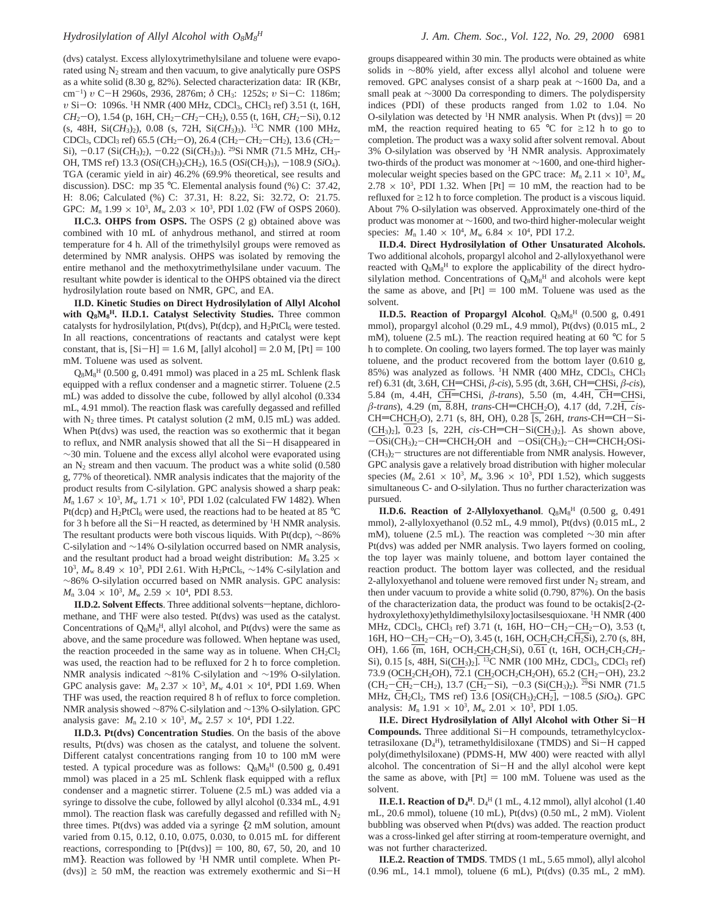(dvs) catalyst. Excess allyloxytrimethylsilane and toluene were evaporated using  $N_2$  stream and then vacuum, to give analytically pure OSPS as a white solid (8.30 g, 82%). Selected characterization data: IR (KBr, cm-1) *<sup>υ</sup>* <sup>C</sup>-H 2960s, 2936, 2876m; *<sup>δ</sup>* CH3: 1252s; *<sup>υ</sup>* Si-C: 1186m; *υ* Si-O: 1096s. <sup>1</sup>H NMR (400 MHz, CDCl<sub>3</sub>, CHCl<sub>3</sub> ref) 3.51 (t, 16H,  $CH_2$ -O), 1.54 (p, 16H, CH<sub>2</sub>-CH<sub>2</sub>-CH<sub>2</sub>), 0.55 (t, 16H, CH<sub>2</sub>-Si), 0.12 (s, 48H, Si(*CH*3)2), 0.08 (s, 72H, Si(*CH*3)3). 13C NMR (100 MHz, CDCl3, CDCl3 ref) 65.5 (*C*H2-O), 26.4 (CH2-*C*H2-CH2), 13.6 (*C*H2- Si), -0.17 (Si(*C*H3)2), -0.22 (Si(*C*H3)3). 29Si NMR (71.5 MHz, CH3- OH, TMS ref) 13.3 (O*Si*(CH3)2CH2), 16.5 (O*Si*(CH3)3), -108.9 (*Si*O4). TGA (ceramic yield in air) 46.2% (69.9% theoretical, see results and discussion). DSC: mp 35 °C. Elemental analysis found (%) C: 37.42, H: 8.06; Calculated (%) C: 37.31, H: 8.22, Si: 32.72, O: 21.75. GPC:  $M_n$  1.99  $\times$  10<sup>3</sup>,  $M_w$  2.03  $\times$  10<sup>3</sup>, PDI 1.02 (FW of OSPS 2060).

**II.C.3. OHPS from OSPS.** The OSPS (2 g) obtained above was combined with 10 mL of anhydrous methanol, and stirred at room temperature for 4 h. All of the trimethylsilyl groups were removed as determined by NMR analysis. OHPS was isolated by removing the entire methanol and the methoxytrimethylsilane under vacuum. The resultant white powder is identical to the OHPS obtained via the direct hydrosilylation route based on NMR, GPC, and EA.

**II.D. Kinetic Studies on Direct Hydrosilylation of Allyl Alcohol with Q8M8 H. II.D.1. Catalyst Selectivity Studies.** Three common catalysts for hydrosilylation,  $Pt(dvs)$ ,  $Pt(dcp)$ , and  $H_2PtCl_6$  were tested. In all reactions, concentrations of reactants and catalyst were kept constant, that is,  $[Si-H] = 1.6$  M,  $[allyl alcohol] = 2.0$  M,  $[Pt] = 100$ mM. Toluene was used as solvent.

Q8M8 <sup>H</sup> (0.500 g, 0.491 mmol) was placed in a 25 mL Schlenk flask equipped with a reflux condenser and a magnetic stirrer. Toluene (2.5 mL) was added to dissolve the cube, followed by allyl alcohol (0.334 mL, 4.91 mmol). The reaction flask was carefully degassed and refilled with  $N_2$  three times. Pt catalyst solution (2 mM, 0.15 mL) was added. When Pt(dvs) was used, the reaction was so exothermic that it began to reflux, and NMR analysis showed that all the Si-H disappeared in  $\sim$ 30 min. Toluene and the excess allyl alcohol were evaporated using an  $N_2$  stream and then vacuum. The product was a white solid (0.580) g, 77% of theoretical). NMR analysis indicates that the majority of the product results from C-silylation. GPC analysis showed a sharp peak:  $M_n$  1.67  $\times$  10<sup>3</sup>,  $M_w$  1.71  $\times$  10<sup>3</sup>, PDI 1.02 (calculated FW 1482). When Pt(dcp) and  $H_2PtCl_6$  were used, the reactions had to be heated at 85 °C for 3 h before all the Si-H reacted, as determined by <sup>1</sup>H NMR analysis.<br>The resultant products were both viscous liquids. With Pt(dcp)  $\sim$ 86% The resultant products were both viscous liquids. With Pt(dcp), ∼86% C-silylation and ∼14% O-silylation occurred based on NMR analysis, and the resultant product had a broad weight distribution:  $M_n$  3.25  $\times$ 10<sup>3</sup>, *M*<sub>w</sub> 8.49 × 10<sup>3</sup>, PDI 2.61. With H<sub>2</sub>PtCl<sub>6</sub>, ~14% C-silylation and ∼86% O-silylation occurred based on NMR analysis. GPC analysis:  $M_n$  3.04  $\times$  10<sup>3</sup>,  $M_w$  2.59  $\times$  10<sup>4</sup>, PDI 8.53.

**II.D.2. Solvent Effects**. Three additional solvents-heptane, dichloromethane, and THF were also tested. Pt(dvs) was used as the catalyst. Concentrations of  $Q_8M_8^H$ , allyl alcohol, and Pt(dvs) were the same as above, and the same procedure was followed. When heptane was used, the reaction proceeded in the same way as in toluene. When  $CH_2Cl_2$ was used, the reaction had to be refluxed for 2 h to force completion. NMR analysis indicated ∼81% C-silylation and ∼19% O-silylation. GPC analysis gave:  $M_n$  2.37  $\times$  10<sup>3</sup>,  $M_w$  4.01  $\times$  10<sup>4</sup>, PDI 1.69. When THF was used, the reaction required 8 h of reflux to force completion. NMR analysis showed ∼87% C-silylation and ∼13% O-silylation. GPC analysis gave:  $M_n$  2.10  $\times$  10<sup>3</sup>,  $M_w$  2.57  $\times$  10<sup>4</sup>, PDI 1.22.

**II.D.3. Pt(dvs) Concentration Studies**. On the basis of the above results, Pt(dvs) was chosen as the catalyst, and toluene the solvent. Different catalyst concentrations ranging from 10 to 100 mM were tested. A typical procedure was as follows:  $Q_8M_8^H$  (0.500 g, 0.491 mmol) was placed in a 25 mL Schlenk flask equipped with a reflux condenser and a magnetic stirrer. Toluene (2.5 mL) was added via a syringe to dissolve the cube, followed by allyl alcohol (0.334 mL, 4.91 mmol). The reaction flask was carefully degassed and refilled with  $N_2$ three times. Pt(dvs) was added via a syringe {2 mM solution, amount varied from 0.15, 0.12, 0.10, 0.075, 0.030, to 0.015 mL for different reactions, corresponding to  $[Pt(dvs)] = 100, 80, 67, 50, 20,$  and 10 mM}. Reaction was followed by <sup>1</sup>H NMR until complete. When Pt- $(dvs)$ ]  $\geq$  50 mM, the reaction was extremely exothermic and Si-H

groups disappeared within 30 min. The products were obtained as white solids in ∼80% yield, after excess allyl alcohol and toluene were removed. GPC analyses consist of a sharp peak at ∼1600 Da, and a small peak at ∼3000 Da corresponding to dimers. The polydispersity indices (PDI) of these products ranged from 1.02 to 1.04. No O-silylation was detected by <sup>1</sup>H NMR analysis. When Pt (dvs) $] = 20$ mM, the reaction required heating to 65 °C for  $\geq$ 12 h to go to completion. The product was a waxy solid after solvent removal. About 3% O-silylation was observed by 1H NMR analysis. Approximately two-thirds of the product was monomer at ∼1600, and one-third highermolecular weight species based on the GPC trace:  $M_n$  2.11  $\times$  10<sup>3</sup>,  $M_w$  $2.78 \times 10^3$ , PDI 1.32. When [Pt] = 10 mM, the reaction had to be refluxed for  $\geq$ 12 h to force completion. The product is a viscous liquid. About 7% O-silylation was observed. Approximately one-third of the product was monomer at ∼1600, and two-third higher-molecular weight species:  $M_n$  1.40  $\times$  10<sup>4</sup>,  $M_w$  6.84  $\times$  10<sup>4</sup>, PDI 17.2.

**II.D.4. Direct Hydrosilylation of Other Unsaturated Alcohols.** Two additional alcohols, propargyl alcohol and 2-allyloxyethanol were reacted with  $Q_8M_8^H$  to explore the applicability of the direct hydrosilylation method. Concentrations of  $Q_8M_8^H$  and alcohols were kept the same as above, and  $[Pt] = 100$  mM. Toluene was used as the solvent.

**II.D.5. Reaction of Propargyl Alcohol**. Q<sub>8</sub>M<sub>8</sub><sup>H</sup> (0.500 g, 0.491) mmol), propargyl alcohol (0.29 mL, 4.9 mmol), Pt(dvs) (0.015 mL, 2 mM), toluene (2.5 mL). The reaction required heating at 60 °C for 5 h to complete. On cooling, two layers formed. The top layer was mainly toluene, and the product recovered from the bottom layer (0.610 g, 85%) was analyzed as follows. <sup>1</sup>H NMR (400 MHz, CDCl<sub>3</sub>, CHCl<sub>3</sub> ref) 6.31 (dt, 3.6H, CH=CHSi, *β*-*cis*), 5.95 (dt, 3.6H, CH=CHSi, *β*-*cis*), 5.84 (m, 4.4H,  $\overline{\text{CH}}$ =CHSi,  $\beta$ -*trans*), 5.50 (m, 4.4H,  $\overline{\text{CH}}$ =CHSi,  $β$ -*trans*), 4.29 (m, 8.8H, *trans*-CH=CHCH<sub>2</sub>O), 4.17 (dd, 7.2H, *cis*-CH=CHCH<sub>2</sub>O), 2.71 (s, 8H, OH), 0.28 <sup>[s, 26H, trans-CH=CH-Si-</sup>  $(CH_3)_2$ ], 0.23 [s, 22H, *cis*-CH=CH-Si $(CH_3)_2$ ]. As shown above,  $-OSi(CH_3)_2$ -CH=CHCH<sub>2</sub>OH and  $-OSi(CH_3)_2$ -CH=CHCH<sub>2</sub>OSi- $(CH<sub>3</sub>)<sub>2</sub>$  structures are not differentiable from NMR analysis. However, GPC analysis gave a relatively broad distribution with higher molecular species ( $M_n$  2.61  $\times$  10<sup>3</sup>,  $M_w$  3.96  $\times$  10<sup>3</sup>, PDI 1.52), which suggests simultaneous C- and O-silylation. Thus no further characterization was pursued.

**II.D.6. Reaction of 2-Allyloxyethanol**.  $Q_8M_8^H$  (0.500 g, 0.491) mmol), 2-allyloxyethanol (0.52 mL, 4.9 mmol), Pt(dvs) (0.015 mL, 2 mM), toluene (2.5 mL). The reaction was completed ∼30 min after Pt(dvs) was added per NMR analysis. Two layers formed on cooling, the top layer was mainly toluene, and bottom layer contained the reaction product. The bottom layer was collected, and the residual 2-allyloxyethanol and toluene were removed first under  $N_2$  stream, and then under vacuum to provide a white solid (0.790, 87%). On the basis of the characterization data, the product was found to be octakis[2-(2 hydroxylethoxy)ethyldimethylsiloxy]octasilsesquioxane. <sup>1</sup>H NMR (400 MHz, CDCl<sub>3</sub>, CHCl<sub>3</sub> ref) 3.71 (t, 16H, HO-CH<sub>2</sub>-CH<sub>2</sub>-O), 3.53 (t, 16H,  $HO - CH_2 - CH_2 - O$ ), 3.45 (t, 16H,  $OCH_2CH_2CH_2Si$ ), 2.70 (s, 8H, OH), 1.66 (m, 16H, OCH<sub>2</sub>CH<sub>2</sub>CH<sub>2</sub>Si), 0.61 (t, 16H, OCH<sub>2</sub>CH<sub>2</sub>CH<sub>2</sub>-Si), 0.15 [s, 48H, Si(CH<sub>3</sub>)<sub>2</sub>]. <sup>13</sup>C NMR (100 MHz, CDCl<sub>3</sub>, CDCl<sub>3</sub> ref) 73.9 (OCH<sub>2</sub>CH<sub>2</sub>OH), 72.1 (CH<sub>2</sub>OCH<sub>2</sub>CH<sub>2</sub>OH), 65.2 (CH<sub>2</sub>-OH), 23.2  $(CH_2-CH_2-CH_2)$ , 13.7 ( $CH_2-Si$ ),  $-0.3$  (Si( $CH_3$ )<sub>2</sub>). <sup>29</sup>Si NMR (71.5 MHz, CH2Cl2, TMS ref) 13.6 [O*Si*(CH3)2CH2], -108.5 (*Si*O4). GPC analysis:  $M_n$  1.91  $\times$  10<sup>3</sup>,  $M_w$  2.01  $\times$  10<sup>3</sup>, PDI 1.05.

**II.E. Direct Hydrosilylation of Allyl Alcohol with Other Si**-**<sup>H</sup> Compounds.** Three additional Si-H compounds, tetramethylcycloxtetrasiloxane  $(D_4^H)$ , tetramethyldisiloxane (TMDS) and Si-H capped<br>poly(dimethylsiloxane) (PDMS-H MW 400) were reacted with allyl poly(dimethylsiloxane) (PDMS-H, MW 400) were reacted with allyl alcohol. The concentration of Si-H and the allyl alcohol were kept the same as above, with  $[Pt] = 100$  mM. Toluene was used as the solvent.

**II.E.1. Reaction of**  $D_4^H$ .  $D_4^H$  (1 mL, 4.12 mmol), allyl alcohol (1.40) mL, 20.6 mmol), toluene (10 mL), Pt(dvs) (0.50 mL, 2 mM). Violent bubbling was observed when Pt(dvs) was added. The reaction product was a cross-linked gel after stirring at room-temperature overnight, and was not further characterized.

**II.E.2. Reaction of TMDS**. TMDS (1 mL, 5.65 mmol), allyl alcohol (0.96 mL, 14.1 mmol), toluene (6 mL), Pt(dvs) (0.35 mL, 2 mM).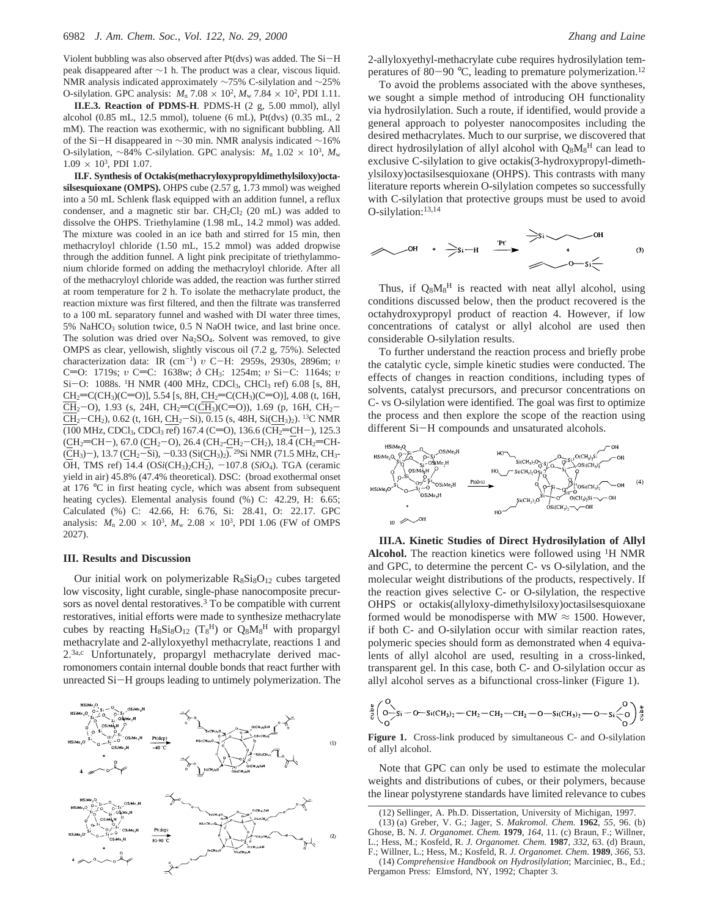Violent bubbling was also observed after Pt(dvs) was added. The Si-<sup>H</sup> peak disappeared after ∼1 h. The product was a clear, viscous liquid. NMR analysis indicated approximately ∼75% C-silylation and ∼25% O-silylation. GPC analysis:  $M_n$  7.08  $\times$  10<sup>2</sup>,  $M_w$  7.84  $\times$  10<sup>2</sup>, PDI 1.11.

**II.E.3. Reaction of PDMS-H**. PDMS-H (2 g, 5.00 mmol), allyl alcohol (0.85 mL, 12.5 mmol), toluene (6 mL), Pt(dvs) (0.35 mL, 2 mM). The reaction was exothermic, with no significant bubbling. All of the Si-H disappeared in <sup>∼</sup>30 min. NMR analysis indicated <sup>∼</sup>16% O-silylation, ~84% C-silylation. GPC analysis: *M*<sub>n</sub> 1.02 × 10<sup>3</sup>, *M*<sub>w</sub>  $1.09 \times 10^3$ , PDI 1.07.

**II.F. Synthesis of Octakis(methacryloxypropyldimethylsiloxy)octasilsesquioxane (OMPS).** OHPS cube (2.57 g, 1.73 mmol) was weighed into a 50 mL Schlenk flask equipped with an addition funnel, a reflux condenser, and a magnetic stir bar.  $CH_2Cl_2$  (20 mL) was added to dissolve the OHPS. Triethylamine (1.98 mL, 14.2 mmol) was added. The mixture was cooled in an ice bath and stirred for 15 min, then methacryloyl chloride (1.50 mL, 15.2 mmol) was added dropwise through the addition funnel. A light pink precipitate of triethylammonium chloride formed on adding the methacryloyl chloride. After all of the methacryloyl chloride was added, the reaction was further stirred at room temperature for 2 h. To isolate the methacrylate product, the reaction mixture was first filtered, and then the filtrate was transferred to a 100 mL separatory funnel and washed with DI water three times, 5% NaHCO<sub>3</sub> solution twice, 0.5 N NaOH twice, and last brine once. The solution was dried over Na<sub>2</sub>SO<sub>4</sub>. Solvent was removed, to give OMPS as clear, yellowish, slightly viscous oil (7.2 g, 75%). Selected characterization data: IR (cm-1) *<sup>υ</sup>* <sup>C</sup>-H: 2959s, 2930s, 2896m; *<sup>υ</sup>* C=O: 1719s; *υ* C=C: 1638w; δ CH<sub>3</sub>: 1254m; *υ* Si-C: 1164s; *υ* Si-O: 1088s. <sup>1</sup>H NMR (400 MHz, CDCl<sub>3</sub>, CHCl<sub>3</sub> ref) 6.08 [s, 8H,  $CH_2=CC(H_3)(C=O)$ ], 5.54 [s, 8H,  $CH_2=CC(H_3)(C=O)$ ], 4.08 (t, 16H,  $\overline{CH}_2$ -O), 1.93 (s, 24H, CH<sub>2</sub>=C( $\overline{CH}_3$ )(C=O)), 1.69 (p, 16H, CH<sub>2</sub>- $\overline{CH_2-CH_2}$ ), 0.62 (t, 16H, CH<sub>2</sub>-Si), 0.15 (s, 48H, Si(CH<sub>3</sub>)<sub>2</sub>). <sup>13</sup>C NMR (100 MHz, CDCl<sub>3</sub>, CDCl<sub>3</sub> ref) 167.4 (C=O), 136.6 (CH<sub>2</sub>=CH-), 125.3<br>(CH<sub>2</sub>=CH-), 67.0 (CH<sub>2</sub>-O), 26.4 (CH<sub>2</sub>-CH<sub>2</sub>-CH<sub>2</sub>), 18.4 (CH<sub>2</sub>=CH- $\frac{C}{C}$ H<sub>2</sub>=CH-), 67.0 (CH<sub>2</sub>-O), 26.4 (CH<sub>2</sub>-CH<sub>2</sub>-CH<sub>2</sub>), 18.4 (CH<sub>2</sub>=CH-<br>  $\frac{C}{C}$ H<sub>2</sub>) – 13.7 (CH<sub>2</sub>-Si) – 0.33 (Si(CH<sub>2</sub>)  $\frac{29}{5}$ Si NMR (71.5 MHz CH<sub>2</sub>  $(CH_3)$ -), 13.7 ( $CH_2$ -Si), -0.33 (Si( $CH_3$ )). <sup>29</sup>Si NMR (71.5 MHz, CH<sub>3</sub>-<br>OH TMS ref) 14.4 (OSi(CH<sub>2</sub>) CH<sub>2</sub>) -107.8 (SiO). TGA (ceramic OH, TMS ref) 14.4 (OSi(CH<sub>3</sub>)<sub>2</sub>CH<sub>2</sub>), -107.8 (SiO<sub>4</sub>). TGA (ceramic yield in air) 45.8% (47.4% theoretical). DSC: (broad exothermal onset at 176 °C in first heating cycle, which was absent from subsequent heating cycles). Elemental analysis found (%) C: 42.29, H: 6.65; Calculated (%) C: 42.66, H: 6.76, Si: 28.41, O: 22.17. GPC analysis:  $M_n$  2.00  $\times$  10<sup>3</sup>,  $M_w$  2.08  $\times$  10<sup>3</sup>, PDI 1.06 (FW of OMPS 2027).

### **III. Results and Discussion**

Our initial work on polymerizable  $R_8S_8O_{12}$  cubes targeted low viscosity, light curable, single-phase nanocomposite precursors as novel dental restoratives.<sup>3</sup> To be compatible with current restoratives, initial efforts were made to synthesize methacrylate cubes by reacting  $H_8Si_8O_{12}$  (T<sub>8</sub><sup>H</sup>) or  $Q_8M_8$ <sup>H</sup> with propargyl methacrylate and 2-allyloxyethyl methacrylate, reactions 1 and 2.3a,c Unfortunately, propargyl methacrylate derived macromonomers contain internal double bonds that react further with unreacted Si-H groups leading to untimely polymerization. The



2-allyloxyethyl-methacrylate cube requires hydrosilylation temperatures of 80-90  $^{\circ}$ C, leading to premature polymerization.<sup>12</sup>

To avoid the problems associated with the above syntheses, we sought a simple method of introducing OH functionality via hydrosilylation. Such a route, if identified, would provide a general approach to polyester nanocomposites including the desired methacrylates. Much to our surprise, we discovered that direct hydrosilylation of allyl alcohol with Q<sub>8</sub>M<sub>8</sub><sup>H</sup> can lead to exclusive C-silylation to give octakis(3-hydroxypropyl-dimethylsiloxy)octasilsesquioxane (OHPS). This contrasts with many literature reports wherein O-silylation competes so successfully with C-silylation that protective groups must be used to avoid O-silylation:13,14

$$
\swarrow \qquad \qquad \overbrace{\qquad \qquad }^{OH} \qquad + \qquad \overbrace{\qquad \qquad }^{PH'} \qquad \overbrace{\qquad \qquad }^{PH'} \qquad \overbrace{\qquad \qquad }^{PH'} \qquad \qquad }^{OH} \qquad \qquad \overbrace{\qquad \qquad }^{OH} \qquad \qquad (3)
$$

Thus, if  $Q_8M_8^H$  is reacted with neat allyl alcohol, using conditions discussed below, then the product recovered is the octahydroxypropyl product of reaction 4. However, if low concentrations of catalyst or allyl alcohol are used then considerable O-silylation results.

To further understand the reaction process and briefly probe the catalytic cycle, simple kinetic studies were conducted. The effects of changes in reaction conditions, including types of solvents, catalyst precursors, and precursor concentrations on C- vs O-silylation were identified. The goal was first to optimize the process and then explore the scope of the reaction using different Si-H compounds and unsaturated alcohols.



**III.A. Kinetic Studies of Direct Hydrosilylation of Allyl** Alcohol. The reaction kinetics were followed using <sup>1</sup>H NMR and GPC, to determine the percent C- vs O-silylation, and the molecular weight distributions of the products, respectively. If the reaction gives selective C- or O-silylation, the respective OHPS or octakis(allyloxy-dimethylsiloxy)octasilsesquioxane formed would be monodisperse with MW  $\approx$  1500. However, if both C- and O-silylation occur with similar reaction rates, polymeric species should form as demonstrated when 4 equivalents of allyl alcohol are used, resulting in a cross-linked, transparent gel. In this case, both C- and O-silylation occur as allyl alcohol serves as a bifunctional cross-linker (Figure 1).

$$
\overset{a}{\underset{c}{\beta}}\Big(\underset{O}{\overset{O}{\underset{C}{\bigcirc}}}Si-O-Si(CH_3)_2-CH_2-CH_2-CH_2-O-Si(CH_3)_2-O-Si\overset{O}{\underset{C}{\bigcirc}}0\Big) \overset{a}{\underset{C}{\beta}}
$$

**Figure 1.** Cross-link produced by simultaneous C- and O-silylation of allyl alcohol.

Note that GPC can only be used to estimate the molecular weights and distributions of cubes, or their polymers, because the linear polystyrene standards have limited relevance to cubes

<sup>(12)</sup> Sellinger, A. Ph.D. Dissertation, University of Michigan, 1997.

<sup>(13) (</sup>a) Greber, V. G.; Jager, S. *Makromol. Chem.* **1962**, *55*, 96. (b) Ghose, B. N. *J. Organomet. Chem.* **1979**, *164*, 11. (c) Braun, F.; Willner, L.; Hess, M.; Kosfeld, R. *J. Organomet. Chem.* **1987**, *332*, 63. (d) Braun, F.; Willner, L.; Hess, M.; Kosfeld, R. *J. Organomet. Chem.* **1989**, *366*, 53. (14) *Comprehensive Handbook on Hydrosilylation*; Marciniec, B., Ed.; Pergamon Press: Elmsford, NY, 1992; Chapter 3.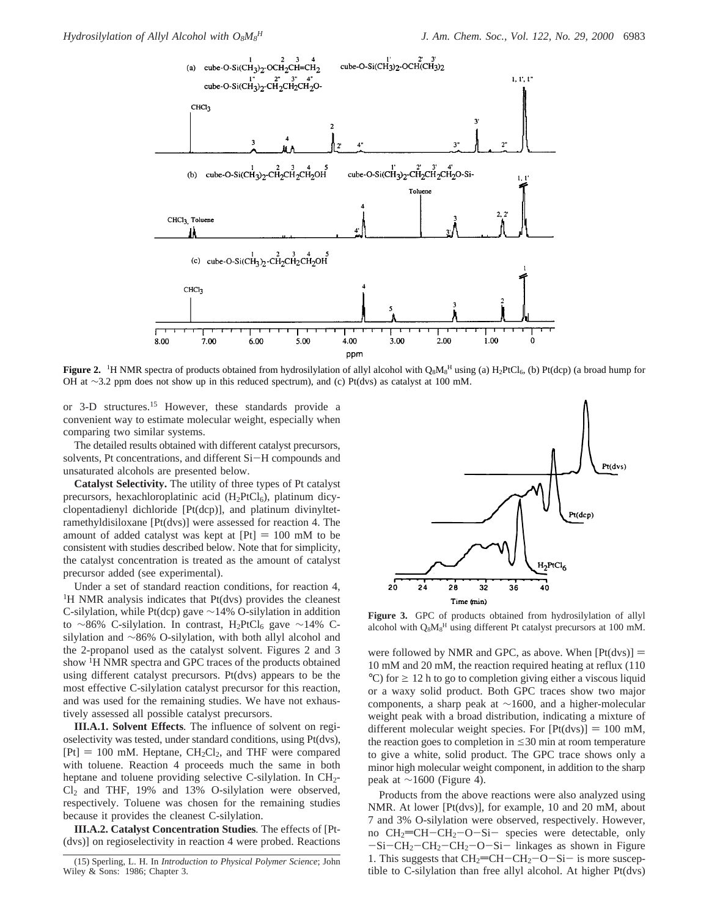

**Figure 2.** <sup>1</sup>H NMR spectra of products obtained from hydrosilylation of allyl alcohol with Q<sub>8</sub>M<sub>8</sub><sup>H</sup> using (a) H<sub>2</sub>PtCl<sub>6</sub>, (b) Pt(dcp) (a broad hump for OH at ∼3.2 ppm does not show up in this reduced spectrum), and (c) Pt(dvs) as catalyst at 100 mM.

or 3-D structures.15 However, these standards provide a convenient way to estimate molecular weight, especially when comparing two similar systems.

The detailed results obtained with different catalyst precursors, solvents, Pt concentrations, and different Si-H compounds and unsaturated alcohols are presented below.

**Catalyst Selectivity.** The utility of three types of Pt catalyst precursors, hexachloroplatinic acid (H<sub>2</sub>PtCl<sub>6</sub>), platinum dicyclopentadienyl dichloride [Pt(dcp)], and platinum divinyltetramethyldisiloxane [Pt(dvs)] were assessed for reaction 4. The amount of added catalyst was kept at  $[Pt] = 100$  mM to be consistent with studies described below. Note that for simplicity, the catalyst concentration is treated as the amount of catalyst precursor added (see experimental).

Under a set of standard reaction conditions, for reaction 4, <sup>1</sup>H NMR analysis indicates that Pt(dvs) provides the cleanest C-silylation, while Pt(dcp) gave ∼14% O-silylation in addition to ∼86% C-silylation. In contrast, H<sub>2</sub>PtCl<sub>6</sub> gave ~14% Csilylation and ∼86% O-silylation, with both allyl alcohol and the 2-propanol used as the catalyst solvent. Figures 2 and 3 show 1H NMR spectra and GPC traces of the products obtained using different catalyst precursors. Pt(dvs) appears to be the most effective C-silylation catalyst precursor for this reaction, and was used for the remaining studies. We have not exhaustively assessed all possible catalyst precursors.

**III.A.1. Solvent Effects***.* The influence of solvent on regioselectivity was tested, under standard conditions, using Pt(dvs),  $[Pt] = 100$  mM. Heptane,  $CH_2Cl_2$ , and THF were compared with toluene. Reaction 4 proceeds much the same in both heptane and toluene providing selective C-silylation. In CH<sub>2</sub>- $Cl<sub>2</sub>$  and THF, 19% and 13% O-silylation were observed, respectively. Toluene was chosen for the remaining studies because it provides the cleanest C-silylation.

**III.A.2. Catalyst Concentration Studies***.* The effects of [Pt- (dvs)] on regioselectivity in reaction 4 were probed. Reactions



**Figure 3.** GPC of products obtained from hydrosilylation of allyl alcohol with  $Q_8M_8$ <sup>H</sup> using different Pt catalyst precursors at 100 mM.

were followed by NMR and GPC, as above. When  $[Pt(dvs)] =$ 10 mM and 20 mM, the reaction required heating at reflux (110  $^{\circ}$ C) for  $\geq$  12 h to go to completion giving either a viscous liquid or a waxy solid product. Both GPC traces show two major components, a sharp peak at ∼1600, and a higher-molecular weight peak with a broad distribution, indicating a mixture of different molecular weight species. For  $[Pt(dvs)] = 100$  mM, the reaction goes to completion in  $\leq$ 30 min at room temperature to give a white, solid product. The GPC trace shows only a minor high molecular weight component, in addition to the sharp peak at ∼1600 (Figure 4).

Products from the above reactions were also analyzed using NMR. At lower [Pt(dvs)], for example, 10 and 20 mM, about 7 and 3% O-silylation were observed, respectively. However, no  $CH_2=CH-CH_2-O-Si-$  species were detectable, only  $-Si-CH_2-CH_2-CH_2-O-Si-$  linkages as shown in Figure 1. This suggests that  $CH_2=CH-CH_2-O-Si-$  is more susceptible to C-silylation than free allyl alcohol. At higher Pt(dvs)

<sup>(15)</sup> Sperling, L. H. In *Introduction to Physical Polymer Science*; John Wiley & Sons: 1986; Chapter 3.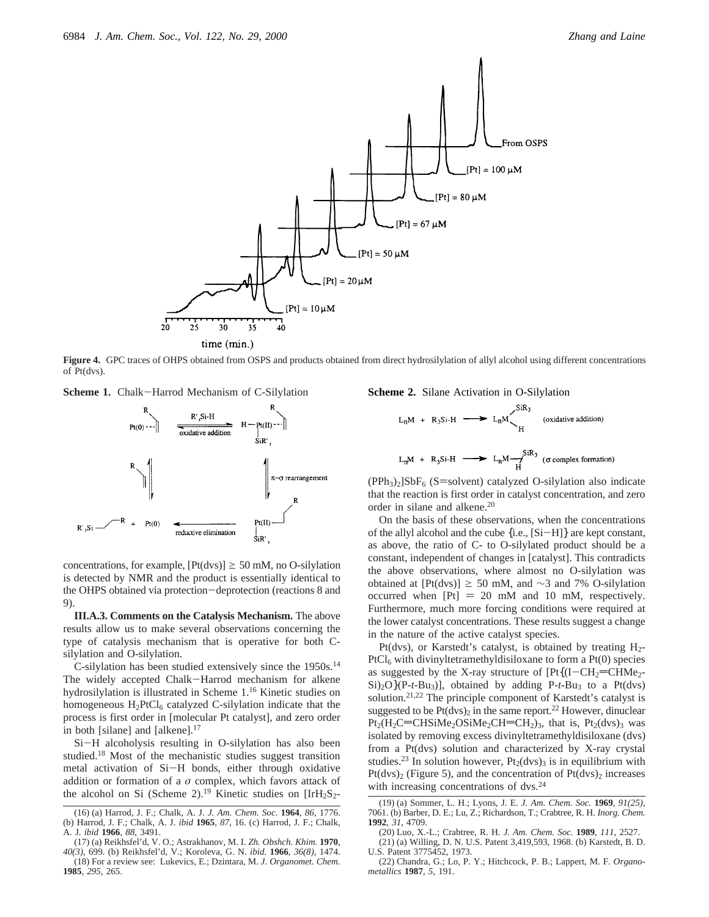

**Figure 4.** GPC traces of OHPS obtained from OSPS and products obtained from direct hydrosilylation of allyl alcohol using different concentrations of Pt(dvs).



concentrations, for example,  $[Pt(dvs)] \ge 50$  mM, no O-silylation is detected by NMR and the product is essentially identical to the OHPS obtained via protection-deprotection (reactions 8 and 9).

**III.A.3. Comments on the Catalysis Mechanism.** The above results allow us to make several observations concerning the type of catalysis mechanism that is operative for both Csilylation and O-silylation.

C-silylation has been studied extensively since the 1950s.14 The widely accepted Chalk-Harrod mechanism for alkene hydrosilylation is illustrated in Scheme 1.16 Kinetic studies on homogeneous  $H_2PtCl_6$  catalyzed C-silylation indicate that the process is first order in [molecular Pt catalyst], and zero order in both [silane] and [alkene].<sup>17</sup>

Si-H alcoholysis resulting in O-silylation has also been studied.<sup>18</sup> Most of the mechanistic studies suggest transition metal activation of Si-H bonds, either through oxidative addition or formation of a  $\sigma$  complex, which favors attack of the alcohol on Si (Scheme 2).<sup>19</sup> Kinetic studies on  $[IrH_2S_2-$ 



 $(PPh<sub>3</sub>)<sub>2</sub>]$ SbF<sub>6</sub> (S=solvent) catalyzed O-silylation also indicate that the reaction is first order in catalyst concentration, and zero order in silane and alkene.20

On the basis of these observations, when the concentrations of the allyl alcohol and the cube {i.e., [Si-H]} are kept constant, as above, the ratio of C- to O-silylated product should be a constant, independent of changes in [catalyst]. This contradicts the above observations, where almost no O-silylation was obtained at [Pt(dvs)] ≥ 50 mM, and ∼3 and 7% O-silylation occurred when  $[Pt] = 20$  mM and 10 mM, respectively. Furthermore, much more forcing conditions were required at the lower catalyst concentrations. These results suggest a change in the nature of the active catalyst species.

Pt(dvs), or Karstedt's catalyst, is obtained by treating  $H_2$ - $PtCl<sub>6</sub>$  with divinyltetramethyldisiloxane to form a  $Pt(0)$  species as suggested by the X-ray structure of  $[Pt{(I-CH_2=CHMe_2-HMe_2}$ Si)2O}(P-*t*-Bu3)], obtained by adding P-*t*-Bu3 to a Pt(dvs) solution.21,22 The principle component of Karstedt's catalyst is suggested to be  $Pt(dvs)_2$  in the same report.<sup>22</sup> However, dinuclear  $Pt_2(H_2C=CHSiMe_2OSiMe_2CH=CH_2)_3$ , that is,  $Pt_2(dvs)_3$  was isolated by removing excess divinyltetramethyldisiloxane (dvs) from a Pt(dvs) solution and characterized by X-ray crystal studies.<sup>23</sup> In solution however,  $Pt_2(dvs)_3$  is in equilibrium with  $Pt(dvs)_2$  (Figure 5), and the concentration of  $Pt(dvs)_2$  increases with increasing concentrations of dvs.<sup>24</sup>

<sup>(16) (</sup>a) Harrod, J. F.; Chalk, A. J. *J. Am. Chem. Soc.* **1964**, *86*, 1776. (b) Harrod, J. F.; Chalk, A. J. *ibid* **1965**, *87*, 16. (c) Harrod, J. F.; Chalk, A. J. *ibid* **1966**, *88*, 3491.

<sup>(17) (</sup>a) Reikhsfel'd, V. O.; Astrakhanov, M. I. *Zh. Obshch. Khim.* **1970**, *40(3)*, 699. (b) Reikhsfel'd, V.; Koroleva, G. N. *ibid.* **1966**, *36(8),* 1474. (18) For a review see: Lukevics, E.; Dzintara, M. *J. Organomet. Chem.* **1985**, *295*, 265.

<sup>(19) (</sup>a) Sommer, L. H.; Lyons, J. E. *J. Am. Chem. Soc.* **1969**, *91(25)*, 7061. (b) Barber, D. E.; Lu, Z.; Richardson, T.; Crabtree, R. H. *Inorg. Chem.* **1992**, *31*, 4709.

<sup>(20)</sup> Luo, X.-L.; Crabtree, R. H. *J. Am. Chem. Soc.* **1989**, *111*, 2527.

<sup>(21) (</sup>a) Willing, D. N. U.S. Patent 3,419,593, 1968. (b) Karstedt, B. D. U.S. Patent 3775452, 1973.

<sup>(22)</sup> Chandra, G.; Lo, P. Y.; Hitchcock, P. B.; Lappert, M. F. *Organometallics* **1987**, *5*, 191.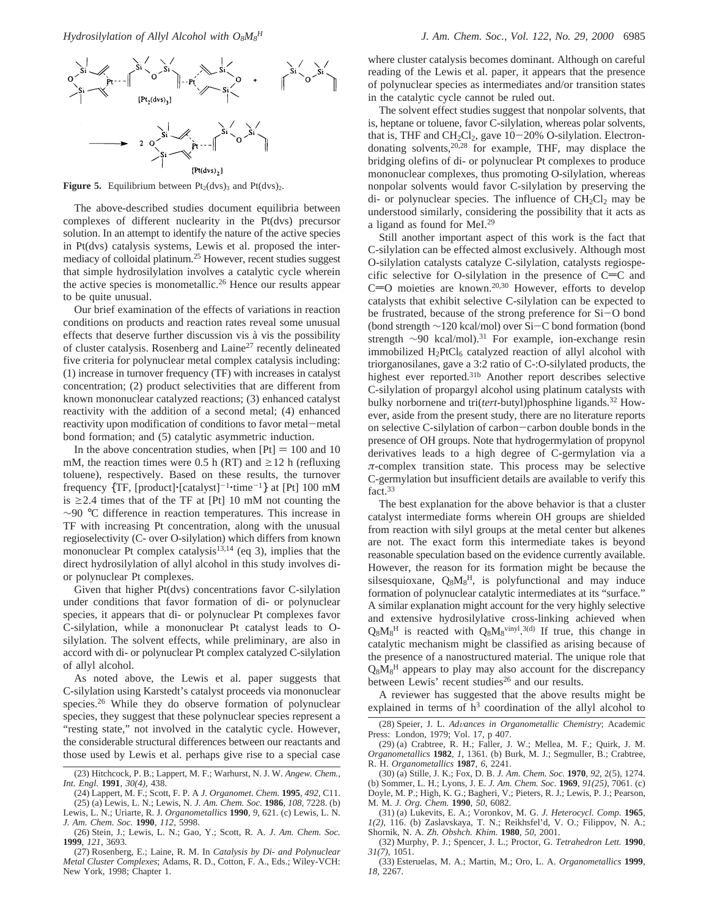

**Figure 5.** Equilibrium between  $Pt_2(dvs)_3$  and  $Pt(dvs)_2$ .

The above-described studies document equilibria between complexes of different nuclearity in the Pt(dvs) precursor solution. In an attempt to identify the nature of the active species in Pt(dvs) catalysis systems, Lewis et al. proposed the intermediacy of colloidal platinum.25 However, recent studies suggest that simple hydrosilylation involves a catalytic cycle wherein the active species is monometallic.26 Hence our results appear to be quite unusual.

Our brief examination of the effects of variations in reaction conditions on products and reaction rates reveal some unusual effects that deserve further discussion vis à vis the possibility of cluster catalysis. Rosenberg and Laine27 recently delineated five criteria for polynuclear metal complex catalysis including: (1) increase in turnover frequency (TF) with increases in catalyst concentration; (2) product selectivities that are different from known mononuclear catalyzed reactions; (3) enhanced catalyst reactivity with the addition of a second metal; (4) enhanced reactivity upon modification of conditions to favor metal-metal bond formation; and (5) catalytic asymmetric induction.

In the above concentration studies, when  $[Pt] = 100$  and 10 mM, the reaction times were 0.5 h (RT) and  $\geq$ 12 h (refluxing toluene), respectively. Based on these results, the turnover frequency  $\{TF, [product] \cdot [catalyst]^{-1} \cdot time^{-1} \}$  at [Pt] 100 mM is  $\geq$  2.4 times that of the TF at [Pt] 10 mM not counting the ∼90 °C difference in reaction temperatures. This increase in TF with increasing Pt concentration, along with the unusual regioselectivity (C- over O-silylation) which differs from known mononuclear Pt complex catalysis<sup>13,14</sup> (eq 3), implies that the direct hydrosilylation of allyl alcohol in this study involves dior polynuclear Pt complexes.

Given that higher Pt(dvs) concentrations favor C-silylation under conditions that favor formation of di- or polynuclear species, it appears that di- or polynuclear Pt complexes favor C-silylation, while a mononuclear Pt catalyst leads to Osilylation. The solvent effects, while preliminary, are also in accord with di- or polynuclear Pt complex catalyzed C-silylation of allyl alcohol.

As noted above, the Lewis et al. paper suggests that C-silylation using Karstedt's catalyst proceeds via mononuclear species.<sup>26</sup> While they do observe formation of polynuclear species, they suggest that these polynuclear species represent a "resting state," not involved in the catalytic cycle. However, the considerable structural differences between our reactants and those used by Lewis et al. perhaps give rise to a special case

(25) (a) Lewis, L. N.; Lewis, N. *J. Am. Chem. Soc.* **1986**, *108*, 7228. (b) Lewis, L. N.; Uriarte, R. J. *Organometallics* **1990**, *9*, 621. (c) Lewis, L. N. *J. Am. Chem. Soc.* **1990**, *112*, 5998.

(26) Stein, J.; Lewis, L. N.; Gao, Y.; Scott, R. A. *J. Am. Chem. Soc.* **1999**, *121*, 3693.

(27) Rosenberg, E.; Laine, R. M. In *Catalysis by Di- and Polynuclear Metal Cluster Complexes*; Adams, R. D., Cotton, F. A., Eds.; Wiley-VCH: New York, 1998; Chapter 1.

where cluster catalysis becomes dominant. Although on careful reading of the Lewis et al. paper, it appears that the presence of polynuclear species as intermediates and/or transition states in the catalytic cycle cannot be ruled out.

The solvent effect studies suggest that nonpolar solvents, that is, heptane or toluene, favor C-silylation, whereas polar solvents, that is, THF and  $CH_2Cl_2$ , gave  $10-20\%$  O-silylation. Electrondonating solvents,20,28 for example, THF, may displace the bridging olefins of di- or polynuclear Pt complexes to produce mononuclear complexes, thus promoting O-silylation, whereas nonpolar solvents would favor C-silylation by preserving the di- or polynuclear species. The influence of  $CH_2Cl_2$  may be understood similarly, considering the possibility that it acts as a ligand as found for MeI.29

Still another important aspect of this work is the fact that C-silylation can be effected almost exclusively. Although most O-silylation catalysts catalyze C-silylation, catalysts regiospecific selective for O-silylation in the presence of  $C=C$  and  $C=O$  moieties are known.<sup>20,30</sup> However, efforts to develop catalysts that exhibit selective C-silylation can be expected to be frustrated, because of the strong preference for Si-O bond (bond strength <sup>∼</sup>120 kcal/mol) over Si-C bond formation (bond strength  $\sim$ 90 kcal/mol).<sup>31</sup> For example, ion-exchange resin immobilized  $H_2PtCl_6$  catalyzed reaction of allyl alcohol with triorganosilanes, gave a 3:2 ratio of C-:O-silylated products, the highest ever reported.31b Another report describes selective C-silylation of propargyl alcohol using platinum catalysts with bulky norbornene and tri(*tert*-butyl)phosphine ligands.32 However, aside from the present study, there are no literature reports on selective C-silylation of carbon-carbon double bonds in the presence of OH groups. Note that hydrogermylation of propynol derivatives leads to a high degree of C-germylation via a *π*-complex transition state. This process may be selective C-germylation but insufficient details are available to verify this fact.<sup>33</sup>

The best explanation for the above behavior is that a cluster catalyst intermediate forms wherein OH groups are shielded from reaction with silyl groups at the metal center but alkenes are not. The exact form this intermediate takes is beyond reasonable speculation based on the evidence currently available. However, the reason for its formation might be because the silsesquioxane,  $Q_8M_8H$ , is polyfunctional and may induce formation of polynuclear catalytic intermediates at its "surface." A similar explanation might account for the very highly selective and extensive hydrosilylative cross-linking achieved when  $Q_8M_8$ <sup>H</sup> is reacted with  $Q_8M_8$ <sup>vinyl</sup>.<sup>3(d)</sup> If true, this change in catalytic mechanism might be classified as arising because of the presence of a nanostructured material. The unique role that  $Q_8M_8$ <sup>H</sup> appears to play may also account for the discrepancy between Lewis' recent studies<sup>26</sup> and our results.

A reviewer has suggested that the above results might be explained in terms of  $h^3$  coordination of the allyl alcohol to

(32) Murphy, P. J.; Spencer, J. L.; Proctor, G. *Tetrahedron Lett.* **1990**, *31(7)*, 1051.

(33) Esteruelas, M. A.; Martin, M.; Oro, L. A. *Organometallics* **1999**, *18*, 2267.

<sup>(23)</sup> Hitchcock, P. B.; Lappert, M. F.; Warhurst, N. J. W. *Angew. Chem., Int. Engl.* **1991**, *30(4)*, 438.

<sup>(24)</sup> Lappert, M. F.; Scott, F. P. A *J. Organomet. Chem.* **1995**, *492*, C11.

<sup>(28)</sup> Speier, J. L. *Ad*V*ances in Organometallic Chemistry*; Academic Press: London, 1979; Vol. 17, p 407.

<sup>(29) (</sup>a) Crabtree, R. H.; Faller, J. W.; Mellea, M. F.; Quirk, J. M. *Organometallics* **1982**, *1*, 1361. (b) Burk, M. J.; Segmuller, B.; Crabtree, R. H. *Organometallics* **1987**, *6*, 2241.

<sup>(30) (</sup>a) Stille, J. K.; Fox, D. B. *J. Am. Chem. Soc.* **1970**, *92*, 2(5), 1274. (b) Sommer, L. H.; Lyons, J. E. *J. Am. Chem. Soc.* **1969**, *91(25)*, 7061. (c) Doyle, M. P.; High, K. G.; Bagheri, V.; Pieters, R. J.; Lewis, P. J.; Pearson, M. M. *J. Org. Chem.* **1990**, *50*, 6082.

<sup>(31) (</sup>a) Lukevits, E. A.; Voronkov, M. G. *J. Heterocycl. Comp.* **1965**, *1(2)*, 116. (b) Zaslavskaya, T. N.; Reikhsfel'd, V. O.; Filippov, N. A.; Shornik, N. A. *Zh. Obshch. Khim.* **1980**, *50*, 2001.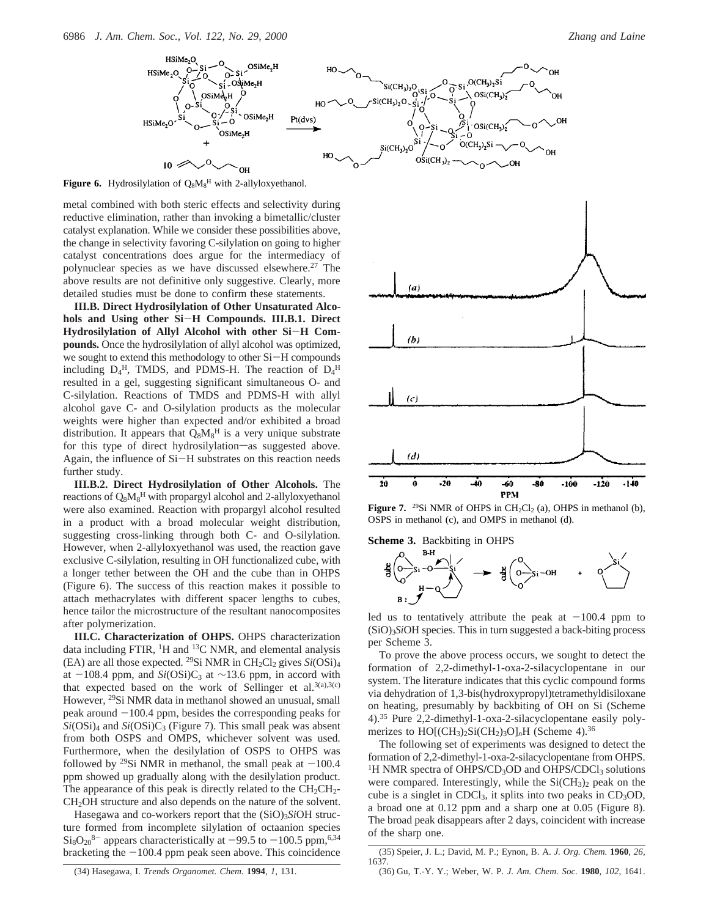

**Figure 6.** Hydrosilylation of  $Q_8M_8^H$  with 2-allyloxyethanol.

metal combined with both steric effects and selectivity during reductive elimination, rather than invoking a bimetallic/cluster catalyst explanation. While we consider these possibilities above, the change in selectivity favoring C-silylation on going to higher catalyst concentrations does argue for the intermediacy of polynuclear species as we have discussed elsewhere.27 The above results are not definitive only suggestive. Clearly, more detailed studies must be done to confirm these statements.

**III.B. Direct Hydrosilylation of Other Unsaturated Alcohols and Using other Si**-**H Compounds. III.B.1. Direct Hydrosilylation of Allyl Alcohol with other Si**-**H Compounds.** Once the hydrosilylation of allyl alcohol was optimized, we sought to extend this methodology to other Si-H compounds including  $D_4^H$ , TMDS, and PDMS-H. The reaction of  $D_4^H$ resulted in a gel, suggesting significant simultaneous O- and C-silylation. Reactions of TMDS and PDMS-H with allyl alcohol gave C- and O-silylation products as the molecular weights were higher than expected and/or exhibited a broad distribution. It appears that  $Q_8M_8^H$  is a very unique substrate for this type of direct hydrosilylation-as suggested above. Again, the influence of Si-H substrates on this reaction needs further study.

**III.B.2. Direct Hydrosilylation of Other Alcohols.** The reactions of Q<sub>8</sub>M<sub>8</sub><sup>H</sup> with propargyl alcohol and 2-allyloxyethanol were also examined. Reaction with propargyl alcohol resulted in a product with a broad molecular weight distribution, suggesting cross-linking through both C- and O-silylation. However, when 2-allyloxyethanol was used, the reaction gave exclusive C-silylation, resulting in OH functionalized cube, with a longer tether between the OH and the cube than in OHPS (Figure 6). The success of this reaction makes it possible to attach methacrylates with different spacer lengths to cubes, hence tailor the microstructure of the resultant nanocomposites after polymerization.

**III.C. Characterization of OHPS.** OHPS characterization data including FTIR, <sup>1</sup>H and <sup>13</sup>C NMR, and elemental analysis (EA) are all those expected. <sup>29</sup>Si NMR in  $CH_2Cl_2$  gives  $Si(OSi)_4$ at  $-108.4$  ppm, and *Si*(OSi)C<sub>3</sub> at ~13.6 ppm, in accord with that expected based on the work of Sellinger et al.  $3(a), 3(c)$ However, 29Si NMR data in methanol showed an unusual, small peak around  $-100.4$  ppm, besides the corresponding peaks for *Si*(OSi)4 and *Si*(OSi)C3 (Figure 7). This small peak was absent from both OSPS and OMPS, whichever solvent was used. Furthermore, when the desilylation of OSPS to OHPS was followed by <sup>29</sup>Si NMR in methanol, the small peak at  $-100.4$ ppm showed up gradually along with the desilylation product. The appearance of this peak is directly related to the  $CH_2CH_2$ -CH2OH structure and also depends on the nature of the solvent.

Hasegawa and co-workers report that the  $(SiO)_{3}SiOH$  structure formed from incomplete silylation of octaanion species  $\text{Si}_8\text{O}_{20}^8$ <sup>8-</sup> appears characteristically at -99.5 to -100.5 ppm,<sup>6,34</sup> bracketing the  $-100.4$  ppm peak seen above. This coincidence



**Figure 7.** <sup>29</sup>Si NMR of OHPS in CH<sub>2</sub>Cl<sub>2</sub> (a), OHPS in methanol (b), OSPS in methanol (c), and OMPS in methanol (d).

**Scheme 3.** Backbiting in OHPS



led us to tentatively attribute the peak at  $-100.4$  ppm to (SiO)3*Si*OH species. This in turn suggested a back-biting process per Scheme 3.

To prove the above process occurs, we sought to detect the formation of 2,2-dimethyl-1-oxa-2-silacyclopentane in our system. The literature indicates that this cyclic compound forms via dehydration of 1,3-bis(hydroxypropyl)tetramethyldisiloxane on heating, presumably by backbiting of OH on Si (Scheme 4).35 Pure 2,2-dimethyl-1-oxa-2-silacyclopentane easily polymerizes to HO[(CH<sub>3</sub>)<sub>2</sub>Si(CH<sub>2</sub>)<sub>3</sub>O]<sub>n</sub>H (Scheme 4).<sup>36</sup>

The following set of experiments was designed to detect the formation of 2,2-dimethyl-1-oxa-2-silacyclopentane from OHPS. <sup>1</sup>H NMR spectra of OHPS/CD<sub>3</sub>OD and OHPS/CDCl<sub>3</sub> solutions were compared. Interestingly, while the  $SiCH<sub>3</sub>2$  peak on the cube is a singlet in CDCl<sub>3</sub>, it splits into two peaks in  $CD<sub>3</sub>OD$ , a broad one at 0.12 ppm and a sharp one at 0.05 (Figure 8). The broad peak disappears after 2 days, coincident with increase of the sharp one.

<sup>(35)</sup> Speier, J. L.; David, M. P.; Eynon, B. A. *J. Org. Chem.* **1960**, *26*, 1637.

<sup>(36)</sup> Gu, T.-Y. Y.; Weber, W. P. *J. Am. Chem. Soc.* **1980**, *102*, 1641.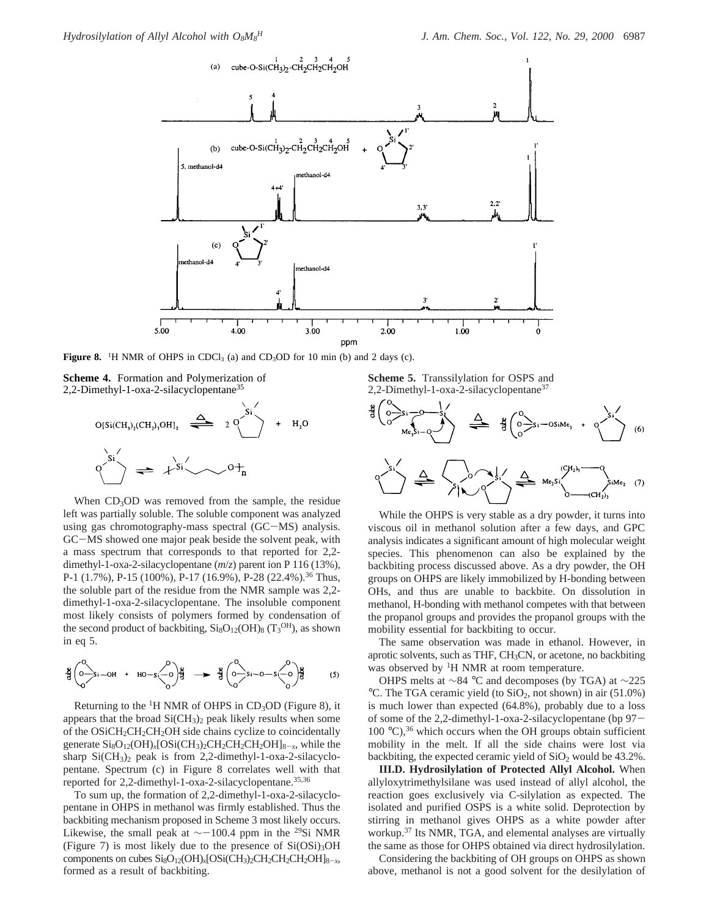

**Figure 8.** <sup>1</sup>H NMR of OHPS in CDCl<sub>3</sub> (a) and CD<sub>3</sub>OD for 10 min (b) and 2 days (c).

**Scheme 4.** Formation and Polymerization of 2,2-Dimethyl-1-oxa-2-silacyclopentane35



When  $CD_3OD$  was removed from the sample, the residue left was partially soluble. The soluble component was analyzed using gas chromotography-mass spectral (GC-MS) analysis. GC-MS showed one major peak beside the solvent peak, with a mass spectrum that corresponds to that reported for 2,2 dimethyl-1-oxa-2-silacyclopentane (*m*/*z*) parent ion P 116 (13%), P-1 (1.7%), P-15 (100%), P-17 (16.9%), P-28 (22.4%).<sup>36</sup> Thus, the soluble part of the residue from the NMR sample was 2,2 dimethyl-1-oxa-2-silacyclopentane. The insoluble component most likely consists of polymers formed by condensation of the second product of backbiting,  $\text{Si}_8\text{O}_{12}(\text{OH})_8$  (T<sub>3</sub>OH), as shown in eq 5.

$$
\frac{18}{5} \begin{pmatrix} 0 \\ 0 \\ 0 \end{pmatrix} \sin - OH & + & HO - S \begin{pmatrix} 0 \\ 0 \\ 0 \end{pmatrix} \frac{18}{5} \longrightarrow \frac{18}{5} \begin{pmatrix} 0 \\ 0 \\ 0 \end{pmatrix} \sin -O - S \begin{pmatrix} 0 \\ 0 \\ 0 \end{pmatrix} \frac{18}{5} \tag{5}
$$

Returning to the  ${}^{1}H$  NMR of OHPS in CD<sub>3</sub>OD (Figure 8), it appears that the broad  $SiCH<sub>3</sub>$ <sub>2</sub> peak likely results when some of the OSiCH<sub>2</sub>CH<sub>2</sub>CH<sub>2</sub>OH side chains cyclize to coincidentally generate Si8O12(OH)*x*[OSi(CH3)2CH2CH2CH2OH]8-*<sup>x</sup>*, while the sharp  $SiCH_3)_2$  peak is from 2,2-dimethyl-1-oxa-2-silacyclopentane. Spectrum (c) in Figure 8 correlates well with that reported for 2,2-dimethyl-1-oxa-2-silacyclopentane.35,36

To sum up, the formation of 2,2-dimethyl-1-oxa-2-silacyclopentane in OHPS in methanol was firmly established. Thus the backbiting mechanism proposed in Scheme 3 most likely occurs. Likewise, the small peak at  $\sim$ -100.4 ppm in the <sup>29</sup>Si NMR (Figure 7) is most likely due to the presence of  $Si(OSi)<sub>3</sub>OH$ components on cubes  $Si_8O_{12}(OH)_x[OSi(CH_3)_2CH_2CH_2CH_2OH]_{8-x}$ , formed as a result of backbiting.

**Scheme 5.** Transsilylation for OSPS and 2,2-Dimethyl-1-oxa-2-silacyclopentane<sup>37</sup>



While the OHPS is very stable as a dry powder, it turns into viscous oil in methanol solution after a few days, and GPC analysis indicates a significant amount of high molecular weight species. This phenomenon can also be explained by the backbiting process discussed above. As a dry powder, the OH groups on OHPS are likely immobilized by H-bonding between OHs, and thus are unable to backbite. On dissolution in methanol, H-bonding with methanol competes with that between the propanol groups and provides the propanol groups with the mobility essential for backbiting to occur.

The same observation was made in ethanol. However, in aprotic solvents, such as THF, CH3CN, or acetone, no backbiting was observed by <sup>1</sup>H NMR at room temperature.

OHPS melts at ∼84 °C and decomposes (by TGA) at ∼225 °C. The TGA ceramic yield (to SiO2, not shown) in air (51.0%) is much lower than expected (64.8%), probably due to a loss of some of the 2,2-dimethyl-1-oxa-2-silacyclopentane (bp 97- 100  $^{\circ}$ C),<sup>36</sup> which occurs when the OH groups obtain sufficient mobility in the melt. If all the side chains were lost via backbiting, the expected ceramic yield of  $SiO<sub>2</sub>$  would be 43.2%.

**III.D. Hydrosilylation of Protected Allyl Alcohol.** When allyloxytrimethylsilane was used instead of allyl alcohol, the reaction goes exclusively via C-silylation as expected. The isolated and purified OSPS is a white solid. Deprotection by stirring in methanol gives OHPS as a white powder after workup.37 Its NMR, TGA, and elemental analyses are virtually the same as those for OHPS obtained via direct hydrosilylation.

Considering the backbiting of OH groups on OHPS as shown above, methanol is not a good solvent for the desilylation of